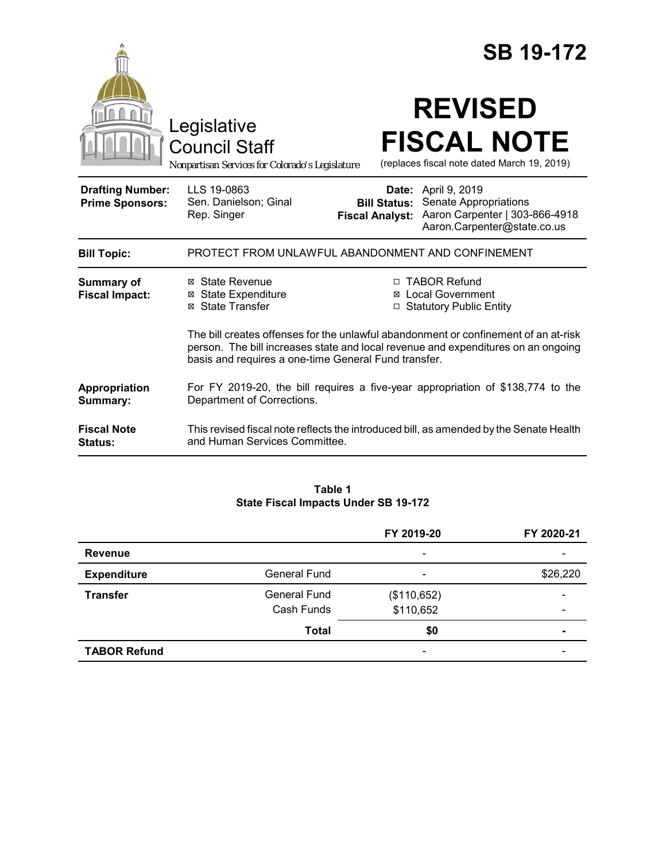|                                                   | Legislative<br><b>Council Staff</b><br>Nonpartisan Services for Colorado's Legislature                                    |                                               | <b>SB 19-172</b><br><b>REVISED</b><br><b>FISCAL NOTE</b><br>(replaces fiscal note dated March 19, 2019)                                                                                                                                            |
|---------------------------------------------------|---------------------------------------------------------------------------------------------------------------------------|-----------------------------------------------|----------------------------------------------------------------------------------------------------------------------------------------------------------------------------------------------------------------------------------------------------|
| <b>Drafting Number:</b><br><b>Prime Sponsors:</b> | LLS 19-0863<br>Sen. Danielson; Ginal<br>Rep. Singer                                                                       | <b>Bill Status:</b><br><b>Fiscal Analyst:</b> | <b>Date:</b> April 9, 2019<br>Senate Appropriations<br>Aaron Carpenter   303-866-4918<br>Aaron.Carpenter@state.co.us                                                                                                                               |
| <b>Bill Topic:</b>                                | PROTECT FROM UNLAWFUL ABANDONMENT AND CONFINEMENT                                                                         |                                               |                                                                                                                                                                                                                                                    |
| <b>Summary of</b><br><b>Fiscal Impact:</b>        | ⊠ State Revenue<br><b>⊠</b> State Expenditure<br>⊠ State Transfer<br>basis and requires a one-time General Fund transfer. | ⊠                                             | □ TABOR Refund<br><b>Local Government</b><br>□ Statutory Public Entity<br>The bill creates offenses for the unlawful abandonment or confinement of an at-risk<br>person. The bill increases state and local revenue and expenditures on an ongoing |
| Appropriation<br>Summary:                         | For FY 2019-20, the bill requires a five-year appropriation of \$138,774 to the<br>Department of Corrections.             |                                               |                                                                                                                                                                                                                                                    |
| <b>Fiscal Note</b><br><b>Status:</b>              | This revised fiscal note reflects the introduced bill, as amended by the Senate Health<br>and Human Services Committee.   |                                               |                                                                                                                                                                                                                                                    |

#### **Table 1 State Fiscal Impacts Under SB 19-172**

|                     |                     | FY 2019-20                   | FY 2020-21 |
|---------------------|---------------------|------------------------------|------------|
| <b>Revenue</b>      |                     |                              |            |
| <b>Expenditure</b>  | <b>General Fund</b> |                              | \$26,220   |
| <b>Transfer</b>     | <b>General Fund</b> | (\$110,652)                  |            |
|                     | Cash Funds          | \$110,652                    | -          |
|                     | <b>Total</b>        | \$0                          | ۰          |
| <b>TABOR Refund</b> |                     | $\qquad \qquad \blacksquare$ |            |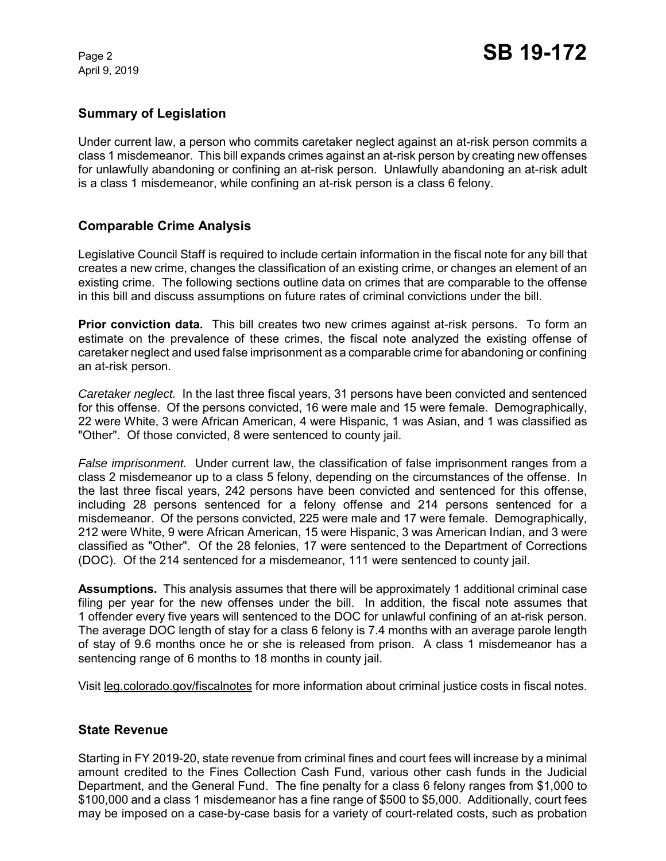April 9, 2019

## **Summary of Legislation**

Under current law, a person who commits caretaker neglect against an at-risk person commits a class 1 misdemeanor. This bill expands crimes against an at-risk person by creating new offenses for unlawfully abandoning or confining an at-risk person. Unlawfully abandoning an at-risk adult is a class 1 misdemeanor, while confining an at-risk person is a class 6 felony.

## **Comparable Crime Analysis**

Legislative Council Staff is required to include certain information in the fiscal note for any bill that creates a new crime, changes the classification of an existing crime, or changes an element of an existing crime. The following sections outline data on crimes that are comparable to the offense in this bill and discuss assumptions on future rates of criminal convictions under the bill.

**Prior conviction data.** This bill creates two new crimes against at-risk persons. To form an estimate on the prevalence of these crimes, the fiscal note analyzed the existing offense of caretaker neglect and used false imprisonment as a comparable crime for abandoning or confining an at-risk person.

*Caretaker neglect.* In the last three fiscal years, 31 persons have been convicted and sentenced for this offense. Of the persons convicted, 16 were male and 15 were female. Demographically, 22 were White, 3 were African American, 4 were Hispanic, 1 was Asian, and 1 was classified as "Other". Of those convicted, 8 were sentenced to county jail.

*False imprisonment.* Under current law, the classification of false imprisonment ranges from a class 2 misdemeanor up to a class 5 felony, depending on the circumstances of the offense. In the last three fiscal years, 242 persons have been convicted and sentenced for this offense, including 28 persons sentenced for a felony offense and 214 persons sentenced for a misdemeanor. Of the persons convicted, 225 were male and 17 were female. Demographically, 212 were White, 9 were African American, 15 were Hispanic, 3 was American Indian, and 3 were classified as "Other". Of the 28 felonies, 17 were sentenced to the Department of Corrections (DOC). Of the 214 sentenced for a misdemeanor, 111 were sentenced to county jail.

**Assumptions.** This analysis assumes that there will be approximately 1 additional criminal case filing per year for the new offenses under the bill. In addition, the fiscal note assumes that 1 offender every five years will sentenced to the DOC for unlawful confining of an at-risk person. The average DOC length of stay for a class 6 felony is 7.4 months with an average parole length of stay of 9.6 months once he or she is released from prison. A class 1 misdemeanor has a sentencing range of 6 months to 18 months in county jail.

Visit leg.colorado.gov/fiscalnotes for more information about criminal justice costs in fiscal notes.

### **State Revenue**

Starting in FY 2019-20, state revenue from criminal fines and court fees will increase by a minimal amount credited to the Fines Collection Cash Fund, various other cash funds in the Judicial Department, and the General Fund. The fine penalty for a class 6 felony ranges from \$1,000 to \$100,000 and a class 1 misdemeanor has a fine range of \$500 to \$5,000. Additionally, court fees may be imposed on a case-by-case basis for a variety of court-related costs, such as probation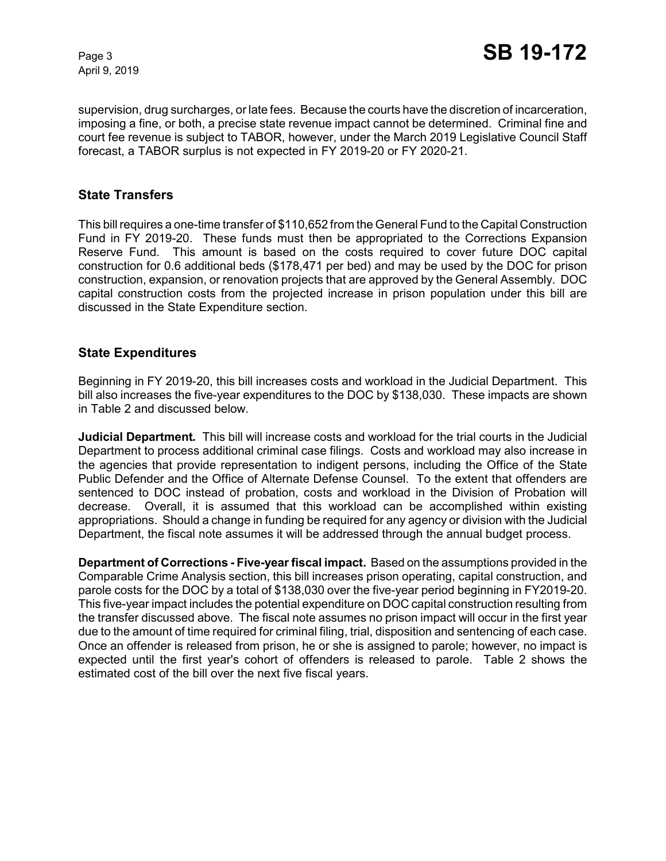April 9, 2019

supervision, drug surcharges, or late fees. Because the courts have the discretion of incarceration, imposing a fine, or both, a precise state revenue impact cannot be determined. Criminal fine and court fee revenue is subject to TABOR, however, under the March 2019 Legislative Council Staff forecast, a TABOR surplus is not expected in FY 2019-20 or FY 2020-21.

### **State Transfers**

This bill requires a one-time transfer of \$110,652 from the General Fund to the Capital Construction Fund in FY 2019-20. These funds must then be appropriated to the Corrections Expansion Reserve Fund. This amount is based on the costs required to cover future DOC capital construction for 0.6 additional beds (\$178,471 per bed) and may be used by the DOC for prison construction, expansion, or renovation projects that are approved by the General Assembly. DOC capital construction costs from the projected increase in prison population under this bill are discussed in the State Expenditure section.

### **State Expenditures**

Beginning in FY 2019-20, this bill increases costs and workload in the Judicial Department. This bill also increases the five-year expenditures to the DOC by \$138,030. These impacts are shown in Table 2 and discussed below.

**Judicial Department***.* This bill will increase costs and workload for the trial courts in the Judicial Department to process additional criminal case filings. Costs and workload may also increase in the agencies that provide representation to indigent persons, including the Office of the State Public Defender and the Office of Alternate Defense Counsel. To the extent that offenders are sentenced to DOC instead of probation, costs and workload in the Division of Probation will decrease. Overall, it is assumed that this workload can be accomplished within existing appropriations. Should a change in funding be required for any agency or division with the Judicial Department, the fiscal note assumes it will be addressed through the annual budget process.

**Department of Corrections - Five-yearfiscal impact.**Based on the assumptions provided in the Comparable Crime Analysis section, this bill increases prison operating, capital construction, and parole costs for the DOC by a total of \$138,030 over the five-year period beginning in FY2019-20. This five-year impact includes the potential expenditure on DOC capital construction resulting from the transfer discussed above. The fiscal note assumes no prison impact will occur in the first year due to the amount of time required for criminal filing, trial, disposition and sentencing of each case. Once an offender is released from prison, he or she is assigned to parole; however, no impact is expected until the first year's cohort of offenders is released to parole. Table 2 shows the estimated cost of the bill over the next five fiscal years.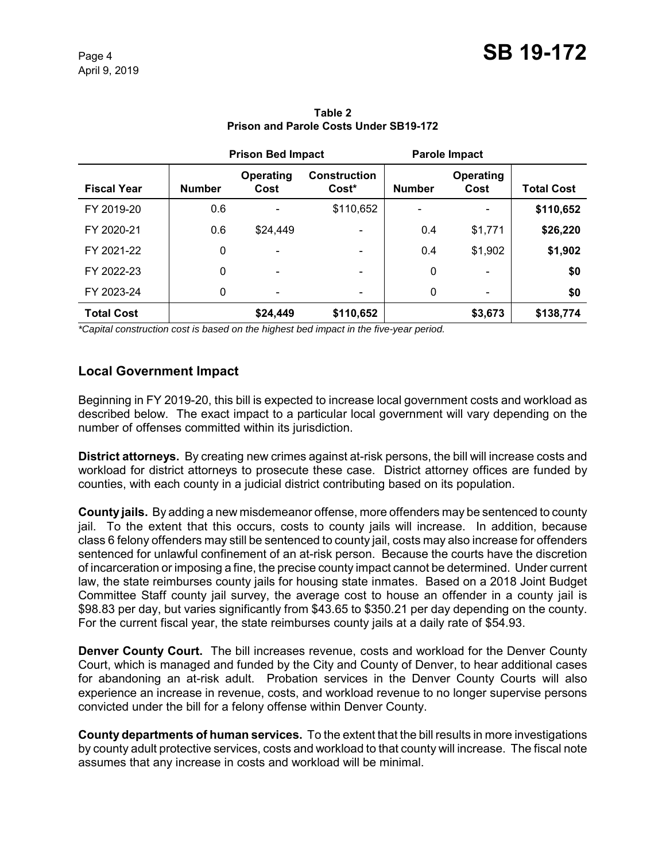|                    |               | <b>Prison Bed Impact</b>     |                                          |               | Parole Impact            |                   |
|--------------------|---------------|------------------------------|------------------------------------------|---------------|--------------------------|-------------------|
| <b>Fiscal Year</b> | <b>Number</b> | Operating<br>Cost            | <b>Construction</b><br>Cost <sup>*</sup> | <b>Number</b> | <b>Operating</b><br>Cost | <b>Total Cost</b> |
| FY 2019-20         | 0.6           |                              | \$110,652                                |               |                          | \$110,652         |
| FY 2020-21         | 0.6           | \$24,449                     |                                          | 0.4           | \$1,771                  | \$26,220          |
| FY 2021-22         | 0             |                              |                                          | 0.4           | \$1,902                  | \$1,902           |
| FY 2022-23         | 0             | $\qquad \qquad \blacksquare$ | -                                        | 0             |                          | \$0               |
| FY 2023-24         | 0             | $\qquad \qquad \blacksquare$ | $\overline{\phantom{0}}$                 | $\mathbf 0$   |                          | \$0               |
| <b>Total Cost</b>  |               | \$24,449                     | \$110,652                                |               | \$3,673                  | \$138,774         |

**Table 2 Prison and Parole Costs Under SB19-172**

*\*Capital construction cost is based on the highest bed impact in the five-year period.*

## **Local Government Impact**

Beginning in FY 2019-20, this bill is expected to increase local government costs and workload as described below. The exact impact to a particular local government will vary depending on the number of offenses committed within its jurisdiction.

**District attorneys.** By creating new crimes against at-risk persons, the bill will increase costs and workload for district attorneys to prosecute these case. District attorney offices are funded by counties, with each county in a judicial district contributing based on its population.

**County jails.** By adding a new misdemeanor offense, more offenders may be sentenced to county jail. To the extent that this occurs, costs to county jails will increase. In addition, because class 6 felony offenders may still be sentenced to county jail, costs may also increase for offenders sentenced for unlawful confinement of an at-risk person. Because the courts have the discretion of incarceration or imposing a fine, the precise county impact cannot be determined. Under current law, the state reimburses county jails for housing state inmates. Based on a 2018 Joint Budget Committee Staff county jail survey, the average cost to house an offender in a county jail is \$98.83 per day, but varies significantly from \$43.65 to \$350.21 per day depending on the county. For the current fiscal year, the state reimburses county jails at a daily rate of \$54.93.

**Denver County Court.** The bill increases revenue, costs and workload for the Denver County Court, which is managed and funded by the City and County of Denver, to hear additional cases for abandoning an at-risk adult. Probation services in the Denver County Courts will also experience an increase in revenue, costs, and workload revenue to no longer supervise persons convicted under the bill for a felony offense within Denver County.

**County departments of human services.** To the extent that the bill results in more investigations by county adult protective services, costs and workload to that county will increase. The fiscal note assumes that any increase in costs and workload will be minimal.